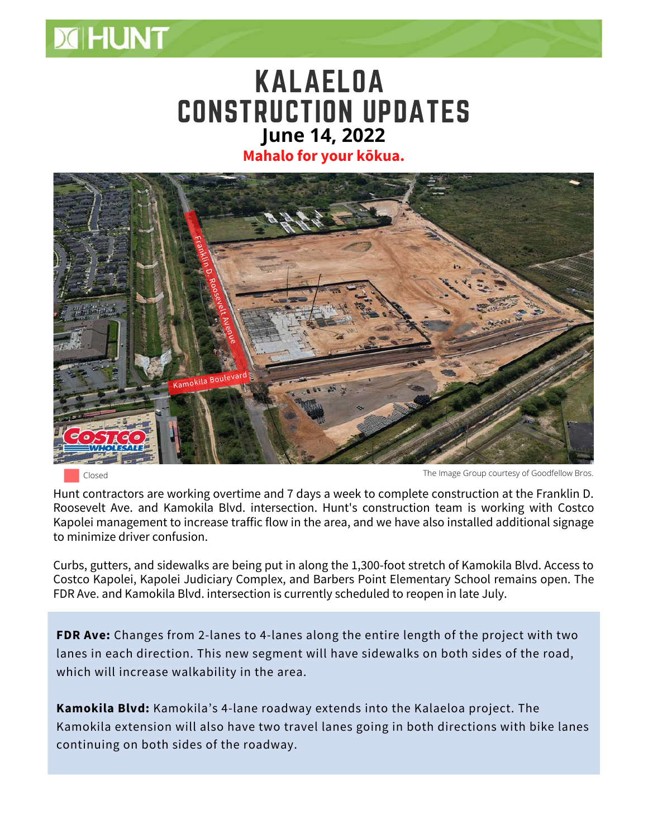## KALAELOA CONSTRUCTION UPDATES **June 14, 2022 Mahalo for your kōkua.**



Closed

**XIHUNT** 

The Image Group courtesy of Goodfellow Bros.

Hunt contractors are working overtime and 7 days a week to complete construction at the Franklin D. Roosevelt Ave. and Kamokila Blvd. intersection. Hunt's construction team is working with Costco Kapolei management to increase traffic flow in the area, and we have also installed additional signage to minimize driver confusion.

Curbs, gutters, and sidewalks are being put in along the 1,300-foot stretch of Kamokila Blvd. Access to Costco Kapolei, Kapolei Judiciary Complex, and Barbers Point Elementary School remains open. The FDR Ave. and Kamokila Blvd. intersection is currently scheduled to reopen in late July.

**FDR Ave:** Changes from 2-lanes to 4-lanes along the entire length of the project with two lanes in each direction. This new segment will have sidewalks on both sides of the road, which will increase walkability in the area.

**Kamokila Blvd:** Kamokila's 4-lane roadway extends into the Kalaeloa project. The Kamokila extension will also have two travel lanes going in both directions with bike lanes continuing on both sides of the roadway.